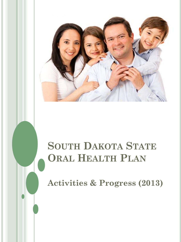

# **SOUTH DAKOTA STATE ORAL HEALTH PLAN**

**Activities & Progress (2013)**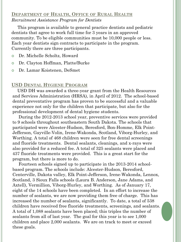# **DEPARTMENT OF HEALTH, OFFICE OF RURAL HEALTH** *Recruitment Assistance Program for Dentists*

 This program is available to general practice dentists and pediatric dentists that agree to work full time for 3 years in an approved community. To be eligible communities must be 10,000 people or less. Each year dentists sign contracts to participate in the program. Currently there are three participants.

- Dr. Michelle Scholtz, Howard
- Dr. Clayton Hoffman, Platte/Burke
- Dr. Lamar Koistenen, DeSmet

## **USD DENTAL HYGIENE PROGRAM**

 USD DH was awarded a three-year grant from the Health Resources and Services Administration (HRSA), in April of 2012. The school-based dental preventative program has proven to be successful and a valuable experience not only for the children that participate, but also for the professional development of dental hygiene students.

 During the 2012-2013 school year, preventive services were provided to 9 schools throughout southeastern South Dakota. The schools that participated were Alcester-Hudson, Beresford, Bon-Homme, Elk Point-Jefferson, Gayville-Volin, Irene-Wakonda, Scotland, Viborg-Hurley, and Worthing. A total of 468 children were seen for free dental screenings and fluoride treatments. Dental sealants, cleanings, and x-rays were also provided for a reduced fee. A total of 325 sealants were placed and 437 fluoride treatments were provided. This is a great start for the program, but there is more to do.

 Fourteen schools signed up to participate in the 2013-2014 schoolbased program. The schools include: Alcester-Hudson, Beresford, Centerville, Dakota valley, Elk Point-Jefferson, Irene-Wakonda, Lennox, Scotland, 3 Sioux Falls schools (Laura B. Anderson, Jane Adams, and Axtell), Vermillion, Viborg-Hurley, and Worthing. As of January 17, eight of the 14 schools have been completed. In an effort to increase the number of sealants, we are now providing them free of charge. This has increased the number of sealants, significantly. To date, a total of 538 children have received free fluoride treatments, screenings, and sealants. A total of 1,088 sealants have been placed; this triples the number of sealants from all of last year. The goal for this year is to see 1,000 children and place 2,000 sealants. We are on track to meet or exceed these goals.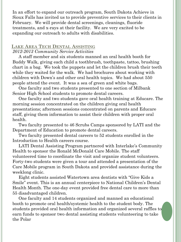In an effort to expand our outreach program, South Dakota Achieve in Sioux Falls has invited us to provide preventive services to their clients in February. We will provide dental screenings, cleanings, fluoride treatments, and x-rays at their facility. We are very excited to be expanding our outreach to adults with disabilities.

## **LAKE AREA TECH DENTAL ASSISTING** *2012-2013 Community Service Activities*

 A staff member and six students manned an oral health booth for Buddy Walk, giving each child a toothbrush, toothpaste, tattoo, brushing chart in a bag. We took the puppets and let the children brush their teeth while they waited for the walk. We had brochures about working with children with Down's and other oral health topics. We had about 550 people attend the event. It was a sea of green and white bags.

 One faculty and two students presented to one section of Milbank Senior High School students to promote dental careers.

 One faculty and two students gave oral health training at Educare. The morning session concentrated on the children giving oral health presentations; afternoon sessions concentrated on parents and Educare staff, giving them information to assist their children with proper oral health.

 Two faculty presented to 46 Scrubs Camps sponsored by LATI and the Department of Education to promote dental careers.

 Two faculty presented dental careers to 52 students enrolled in the Introduction to Health careers course.

 LATI Dental Assisting Program partnered with Interlake's Community Health to sponsor the Ronald McDonald Care Mobile. The staff volunteered time to coordinate the visit and organize student volunteers. Forty-two students were given a tour and attended a presentation of the Care Mobile program in South Dakota and provided assistance during the weeklong clinic.

 Eight students assisted Watertown area dentists with "Give Kids a Smile" event. This is an annual centerpiece to National Children's Dental Health Month. The one-day event provided free dental care to more than 55 disadvantaged children.

 One faculty and 14 students organized and manned an educational booth to promote oral health/systemic health to the student body. The students provided oral health information and organized several raffles to earn funds to sponsor two dental assisting students volunteering to take the Polar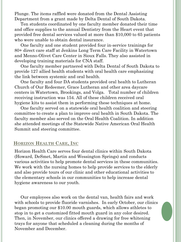Plunge. The items raffled were donated from the Dental Assisting Department from a grant made by Delta Dental of South Dakota.

 Ten students coordinated by one faculty member donated their time and office supplies to the annual Dentistry from the Heart event that provided free dental services valued at more than \$10,000 to 65 patients who were unable to obtain dental insurance.

 One faculty and one student provided four in-service trainings for 80+ direct care staff at Jenkins Long Term Care Facility in Watertown and Menno-Olivet Care Center in Sioux Falls. They also assisted in developing training materials for CNA staff.

 One faculty member partnered with Delta Dental of South Dakota to provide 127 allied health students with oral health care emphasizing the link between systemic and oral health.

 One faculty and four DA students provided oral health to Lutheran Church of Our Redeemer, Grace Lutheran and other area daycare centers in Watertown, Brookings, and Volga. Total number of children receiving instruction was 154. All of these children received oral hygiene kits to assist them in performing these techniques at home.

 One faculty served on a statewide oral health coalition and steering committee to create a plan to improve oral health in South Dakota. The faculty member also served on the Oral Health Coalition. In addition she attended meetings of the Statewide Native American Oral Health Summit and steering committee.

## **HORIZON HEALTH CARE, INC**

Horizon Health Care serves four dental clinics within South Dakota (Howard, DeSmet, Martin and Wessington Springs) and conducts various activities to help promote dental services in these communities. We work with the nursing homes to help provide services to the elderly and also provide tours of our clinic and other educational activities to the elementary schools in our communities to help increase dental hygiene awareness to our youth.

 Our employees also work on the dental van, health fairs and work with schools to provide fluoride varnishes. In early October, our clinics began promoting our \$10.00 mouth guards, which allows athletes to stop in to get a customized fitted mouth guard in any color desired. Then, in November, our clinics offered a drawing for free whitening trays for anyone that scheduled a cleaning during the months of November and December.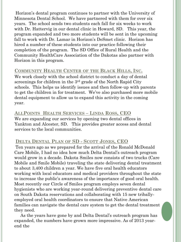Horizon's dental program continues to partner with the University of Minnesota Dental School. We have partnered with them for over six years. The school sends two students each fall for six weeks to work with Dr. Hattervig in our dental clinic in Howard, SD. This year, the program expanded and two more students will be sent in the upcoming fall to work with Dr. Lamar in Horizon's DeSmet clinic. Horizon has hired a number of these students into our practice following their completion of the program. The SD Office of Rural Health and the Community HealthCare Association of the Dakotas also partner with Horizon in this program.

## **COMMUNITY HEALTH CENTER OF THE BLACK HILLS, INC.**

We work closely with the school district to conduct a day of dental screenings for children in the 3<sup>rd</sup> grade of the North Rapid City schools. This helps us identify issues and then follow-up with parents to get the children in for treatment. We've also purchased more mobile dental equipment to allow us to expand this activity in the coming year.

We are expanding our services by opening two dental offices in Yankton and Alcester, SD. This provides greater access and dental services to the local communities. **ALLPOINTS HEALTH SERVICES – LINDA ROSS, CEO** 

# **DELTA DENTAL PLAN OF SD - SCOTT JONES, CEO**

Ten years ago as we prepared for the arrival of the Ronald McDonald Care Mobile, I had no idea how much Delta Dental's outreach program would grow in a decade. Dakota Smiles now consists of two trucks (Care Mobile and Smile Mobile) traveling the state delivering dental treatment to about 3,400 children a year. We have five oral health educators working with local educators and medical providers throughout the state to increase the public's awareness of the importance of good oral health. Most recently our Circle of Smiles program employs seven dental hygienists who are working year-round delivering preventive dental care on South Dakota reservations and collaborating with 15 new triballyemployed oral health coordinators to ensure that Native American families can navigate the dental care system to get the dental treatment they need.

 As the years have gone by and Delta Dental's outreach program has expanded, the numbers have grown more impressive. As of 2013 yearend the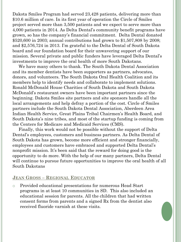Dakota Smiles Program had served 23,428 patients, delivering more than \$10.6 million of care. In its first year of operation the Circle of Smiles project served more than 3,500 patients and we expect to serve more than 4,000 patients in 2014. As Delta Dental's community benefit programs have grown, so has the company's financial commitment. Delta Dental donated \$520,600 in 2003; annual contributions had grown to \$1,507,808 by 2008; and \$2,576,724 in 2013. I'm grateful to the Delta Dental of South Dakota board and our foundation board for their unwavering support of our mission. Several private and public funders have leveraged Delta Dental's investments to improve the oral health of more South Dakotans.

 We have many others to thank. The South Dakota Dental Association and its member dentists have been supporters as partners, advocates, donors, and volunteers. The South Dakota Oral Health Coalition and its members help to identify needs and collaborate to implement solutions. Ronald McDonald House Charities of South Dakota and South Dakota McDonald's restaurant owners have been important partners since the beginning. Dakota Smiles site partners and site sponsors handle all the local arrangements and help defray a portion of the cost. Circle of Smiles partners include the South Dakota Dental Association, Aberdeen Area Indian Health Service, Great Plains Tribal Chairmen's Health Board, and South Dakota's nine tribes, and most of the startup funding is coming from the Centers for Medicare and Medicaid Services (CMS).

 Finally, this work would not be possible without the support of Delta Dental's employees, customers and business partners. As Delta Dental of South Dakota has grown, become more efficient and stronger financially, employees and customers have embraced and supported Delta Dental's nonprofit mission. It's been said that the reward for doing good is the opportunity to do more. With the help of our many partners, Delta Dental will continue to pursue future opportunities to improve the oral health of all South Dakotans

## **JEAN GROSS – REGIONAL EDUCATOR**

o Provided educational presentations for numerous Head Start programs in at least 10 communities in SD. This also included an educational session for parents. All the children that had written consent forms from parents and a signed Rx from the dentist also received fluoride varnish at these visits.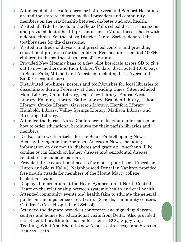- o Attended diabetes conferences for both Avera and Sanford Hospitals around the state to educate medical providers and community members on the relationship between diabetes and oral health.
- o Visited all Title I schools in the Sioux Falls school district classrooms and provided dental health presentations. (Minus those schools with a dental clinic) Southeastern District Dental Society donated the toothbrushes for the classrooms.
- o Visited hundreds of daycare and preschool centers and providing educational programs for the children. Reached an estimated 1000+ children in the southeastern area of the state.
- o Provided New Mommy bags to a few pilot hospitals across SD to give out to new mothers and their babies. To date, distributed 1,000 bags in Sioux Falls, Mitchell and Aberdeen, including both Avera and Sanford hospital sites.
- o Distributed brochures, posters and toothbrushes for local libraries to disseminate during February at their reading times. Sites included Main Library, Callie Library, Oak View Library, Prairie West Library, Ronning Library, Baltic Library, Brandon Library, Colton Library, Crooks Library, Garretson Library, Hartford Library, Humboldt Library, Valley Springs Library, Madison Library and Brookings Library.
- o Attended the Parish Nurse Conference to distribute information on how to order educational brochures for their parish libraries and members.
- o Dr. Kassube wrote articles for the Sioux Falls Shopping News Healthy Living and the Aberdeen American News, including information on dry mouth, diabetes and grafting. Another will be coming out in March on kidney disease and periodontal disease related to the diabetic patient.
- o Provided three educational booths for mouth guard use. (Aberdeen, Huron and Sioux Falls.) Neighborhood Dental in Yankton provided free mouth guards for members of the Mount Marty college basketball team.
- o Displayed information at the Heart Symposium at North Central Heart on the relationship between systemic health and oral health.
- o Attended community events and health fairs to educate the general public on the importance of oral care. (Schools, community centers, Children's Care Hospital and School)
- o Attended the daycare providers conference and signed up daycare centers and homes for educational visits from Delta. Also provided lots of dental health information for them – ECC, Sippy Cup, Teething, What You Should Know About Tooth Decay, and Steps to Healthy Teeth.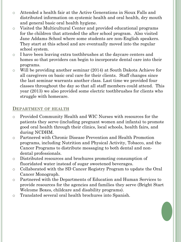- o Attended a health fair at the Active Generations in Sioux Falls and distributed information on systemic health and oral health, dry mouth and general basic oral health hygiene.
- o Visited the Multicultural Center and provided educational programs for the children that attended the after school program. Also visited Jane Addams School where some students are non-English speakers. They start at this school and are eventually moved into the regular school system.
- o I have been leaving extra toothbrushes at the daycare centers and homes so that providers can begin to incorporate dental care into their programs.
- o Will be providing another seminar (2014) at South Dakota Achieve for all caregivers on basic oral care for their clients. Staff changes since the last seminar warrants another class. Last time we provided four classes throughout the day so that all staff members could attend. This year (2013) we also provided some electric toothbrushes for clients who struggle with homecare.

## **DEPARTMENT OF HEALTH**

- o Provided Community Health and WIC Nurses with resources for the patients they serve (including pregnant women and infants) to promote good oral health through their clinics, local schools, health fairs, and during NCDHM.
- o Partnered with Chronic Disease Prevention and Health Promotion programs, including Nutrition and Physical Activity, Tobacco, and the Cancer Programs to distribute messaging to both dental and nondental professionals.
- o Distributed resources and brochures promoting consumption of fluoridated water instead of sugar sweetened beverages.
- o Collaborated with the SD Cancer Registry Program to update the Oral Cancer Monograph.
- o Partnered with the Departments of Education and Human Services to provide resources for the agencies and families they serve (Bright Start Welcome Boxes, childcare and disability programs).
- o Translated several oral health brochures into Spanish.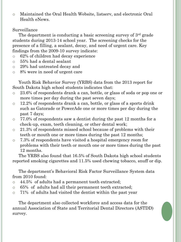o Maintained the Oral Health Website, listserv, and electronic Oral Health eNews.

#### Surveillance

The department is conducting a basic screening survey of 3<sup>rd</sup> grade students during 2013-14 school year. The screening checks for the presence of a filling, a sealant, decay, and need of urgent care. Key findings from the 2009-10 survey indicate:

- o 62% of children had decay experience
- o 55% had a dental sealant
- o 29% had untreated decay and
- o 8% were in need of urgent care

 Youth Risk Behavior Survey (YRBS) data from the 2013 report for South Dakota high school students indicates that:

- o 23.6% of respondents drank a can, bottle, or glass of soda or pop one or more times per day during the past seven days;
- $\circ$  12.2% of respondents drank a can, bottle, or glass of a sports drink such as Gatorade or PowerAde one or more times per day during the past 7 days;
- o 77.0% of respondents saw a dentist during the past 12 months for a check-up, exam, teeth cleaning, or other dental work;
- $\circ$  21.3% of respondents missed school because of problems with their teeth or mouth one or more times during the past 12 months;
- o 7.3% of respondents have visited a hospital emergency room for problems with their teeth or mouth one or more times during the past 12 months.

 The YRBS also found that 16.5% of South Dakota high school students reported smoking cigarettes and 11.5% used chewing tobacco, snuff or dip.

 The department's Behavioral Risk Factor Surveillance System data from 2010 found:

- o 44.5% of adults had a permanent tooth extracted;
- o 65% of adults had all their permanent teeth extracted;
- o 71% of adults had visited the dentist within the past year

 The department also collected workforce and access data for the annual Association of State and Territorial Dental Directors (ASTDD) survey.